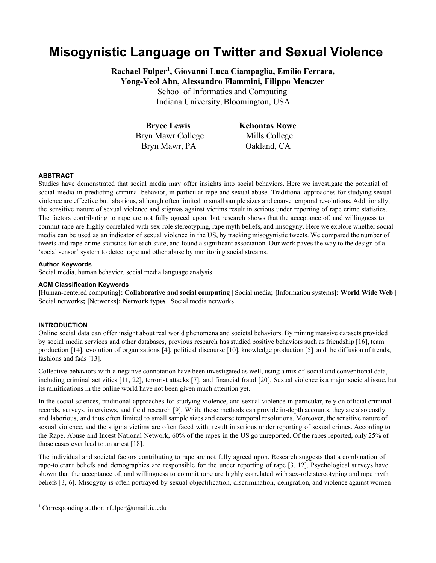# **Misogynistic Language on Twitter and Sexual Violence**

**Rachael Fulper , Giovanni Luca Ciampaglia, Emilio Ferrara, 1 YongYeol Ahn, Alessandro Flammini, Filippo Menczer**

School of Informatics and Computing

Indiana University, Bloomington, USA

**Bryce Lewis** Bryn Mawr College Bryn Mawr, PA

**Kehontas Rowe** Mills College Oakland, CA

# **ABSTRACT**

Studies have demonstrated that social media may offer insights into social behaviors. Here we investigate the potential of social media in predicting criminal behavior, in particular rape and sexual abuse. Traditional approaches for studying sexual violence are effective but laborious, although often limited to small sample sizes and coarse temporal resolutions. Additionally, the sensitive nature of sexual violence and stigmas against victims result in serious under reporting of rape crime statistics. The factors contributing to rape are not fully agreed upon, but research shows that the acceptance of, and willingness to commit rape are highly correlated with sex-role stereotyping, rape myth beliefs, and misogyny. Here we explore whether social media can be used as an indicator of sexual violence in the US, by tracking misogynistic tweets. We compared the number of tweets and rape crime statistics for each state, and found a significant association. Our work paves the way to the design of a 'social sensor' system to detect rape and other abuse by monitoring social streams.

## **Author Keywords**

Social media, human behavior, social media language analysis

## **ACM Classification Keywords**

**[**Humancentered computing**]: Collaborative and social computing |** Social media**; [**Information systems**]: World Wide Web |** Social networks**; [**Networks**]: Network types |** Social media networks

# **INTRODUCTION**

Online social data can offer insight about real world phenomena and societal behaviors. By mining massive datasets provided by social media services and other databases, previous research has studied positive behaviors such as friendship [16], team production [14], evolution of organizations [4], political discourse [10], knowledge production [5] and the diffusion of trends, fashions and fads [13].

Collective behaviors with a negative connotation have been investigated as well, using a mix of social and conventional data, including criminal activities [11, 22], terrorist attacks [7], and financial fraud [20]. Sexual violence is a major societal issue, but its ramifications in the online world have not been given much attention yet.

In the social sciences, traditional approaches for studying violence, and sexual violence in particular, rely on official criminal records, surveys, interviews, and field research [9]. While these methods can provide in-depth accounts, they are also costly and laborious, and thus often limited to small sample sizes and coarse temporal resolutions. Moreover, the sensitive nature of sexual violence, and the stigma victims are often faced with, result in serious under reporting of sexual crimes. According to the Rape, Abuse and Incest National Network, 60% of the rapes in the US go unreported. Of the rapes reported, only 25% of those cases ever lead to an arrest [18].

The individual and societal factors contributing to rape are not fully agreed upon. Research suggests that a combination of rape-tolerant beliefs and demographics are responsible for the under reporting of rape [3, 12]. Psychological surveys have shown that the acceptance of, and willingness to commit rape are highly correlated with sex-role stereotyping and rape myth beliefs [3, 6]. Misogyny is often portrayed by sexual objectification, discrimination, denigration, and violence against women

<sup>&</sup>lt;sup>1</sup> Corresponding author: rfulper@umail.iu.edu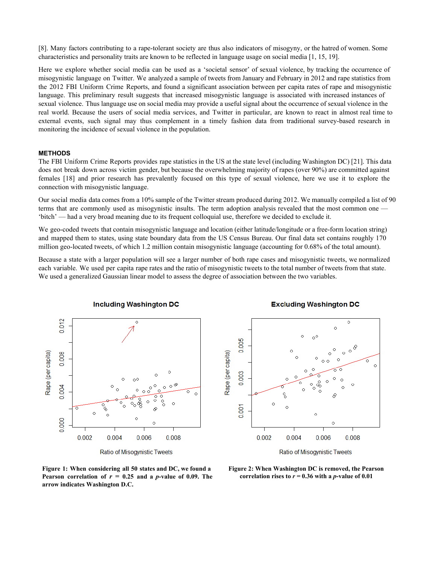[8]. Many factors contributing to a rapetolerant society are thus also indicators of misogyny, or the hatred of women. Some characteristics and personality traits are known to be reflected in language usage on social media [1, 15, 19].

Here we explore whether social media can be used as a 'societal sensor' of sexual violence, by tracking the occurrence of misogynistic language on Twitter. We analyzed a sample of tweets from January and February in 2012 and rape statistics from the 2012 FBI Uniform Crime Reports, and found a significant association between per capita rates of rape and misogynistic language. This preliminary result suggests that increased misogynistic language is associated with increased instances of sexual violence. Thus language use on social media may provide a useful signal about the occurrence of sexual violence in the real world. Because the users of social media services, and Twitter in particular, are known to react in almost real time to external events, such signal may thus complement in a timely fashion data from traditional surveybased research in monitoring the incidence of sexual violence in the population.

#### **METHODS**

The FBI Uniform Crime Reports provides rape statistics in the US at the state level (including Washington DC) [21]. This data does not break down across victim gender, but because the overwhelming majority of rapes (over 90%) are committed against females [18] and prior research has prevalently focused on this type of sexual violence, here we use it to explore the connection with misogynistic language.

Our social media data comes from a 10% sample of the Twitter stream produced during 2012. We manually compiled a list of 90 terms that are commonly used as misogynistic insults. The term adoption analysis revealed that the most common one — 'bitch' — had a very broad meaning due to its frequent colloquial use, therefore we decided to exclude it.

We geo-coded tweets that contain misogynistic language and location (either latitude/longitude or a free-form location string) and mapped them to states, using state boundary data from the US Census Bureau. Our final data set contains roughly 170 million geo-located tweets, of which 1.2 million contain misogynistic language (accounting for 0.68% of the total amount).

Because a state with a larger population will see a larger number of both rape cases and misogynistic tweets, we normalized each variable. We used per capita rape rates and the ratio of misogynistic tweets to the total number of tweets from that state. We used a generalized Gaussian linear model to assess the degree of association between the two variables.



### **Excluding Washington DC**



Ratio of Misogynistic Tweets

**Figure 1: When considering all 50 states and DC, we found a Pearson correlation** of  $r = 0.25$  **and a** *p***value** of 0.09. The **arrow indicates Washington D.C.**

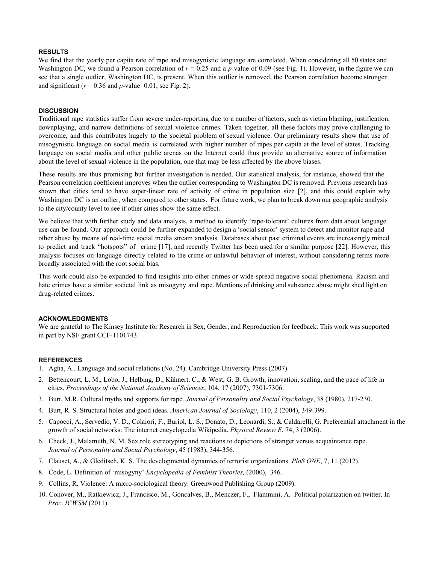### **RESULTS**

We find that the yearly per capita rate of rape and misogynistic language are correlated. When considering all 50 states and Washington DC, we found a Pearson correlation of  $r = 0.25$  and a *p*-value of 0.09 (see Fig. 1). However, in the figure we can see that a single outlier, Washington DC, is present. When this outlier is removed, the Pearson correlation become stronger and significant  $(r = 0.36$  and *p*-value=0.01, see Fig. 2).

#### **DISCUSSION**

Traditional rape statistics suffer from severe under-reporting due to a number of factors, such as victim blaming, justification, downplaying, and narrow definitions of sexual violence crimes. Taken together, all these factors may prove challenging to overcome, and this contributes hugely to the societal problem of sexual violence. Our preliminary results show that use of misogynistic language on social media is correlated with higher number of rapes per capita at the level of states. Tracking language on social media and other public arenas on the Internet could thus provide an alternative source of information about the level of sexual violence in the population, one that may be less affected by the above biases.

These results are thus promising but further investigation is needed. Our statistical analysis, for instance, showed that the Pearson correlation coefficient improves when the outlier corresponding to Washington DC is removed. Previous research has shown that cities tend to have superlinear rate of activity of crime in population size [2], and this could explain why Washington DC is an outlier, when compared to other states. For future work, we plan to break down our geographic analysis to the city/county level to see if other cities show the same effect.

We believe that with further study and data analysis, a method to identify 'rape-tolerant' cultures from data about language use can be found. Our approach could be further expanded to design a 'social sensor' system to detect and monitor rape and other abuse by means of real-time social media stream analysis. Databases about past criminal events are increasingly mined to predict and track "hotspots" of crime [17], and recently Twitter has been used for a similar purpose [22]. However, this analysis focuses on language directly related to the crime or unlawful behavior of interest, without considering terms more broadly associated with the root social bias.

This work could also be expanded to find insights into other crimes or wide-spread negative social phenomena. Racism and hate crimes have a similar societal link as misogyny and rape. Mentions of drinking and substance abuse might shed light on drug-related crimes.

#### **ACKNOWLEDGMENTS**

We are grateful to The Kinsey Institute for Research in Sex, Gender, and Reproduction for feedback. This work was supported in part by NSF grant CCF-1101743.

#### **REFERENCES**

- 1. Agha, A.. Language and social relations (No. 24). Cambridge University Press (2007).
- 2. Bettencourt, L. M., Lobo, J., Helbing, D., Kühnert, C., & West, G. B. Growth, innovation, scaling, and the pace of life in cities. *Proceedings of the National Academy of Sciences*, 104, 17 (2007), 73017306.
- 3. Burt, M.R. Cultural myths and supports for rape. *Journal of Personality and Social Psychology*, 38 (1980), 217230.
- 4. Burt, R. S. Structural holes and good ideas. *American Journal of Sociology*, 110, 2 (2004), 349399.
- 5. Capocci, A., Servedio, V. D., Colaiori, F., Buriol, L. S., Donato, D., Leonardi, S., & Caldarelli, G. Preferential attachment in the growth of social networks: The internet encyclopedia Wikipedia. *Physical Review E*, 74, 3 (2006).
- 6. Check, J., Malamuth, N. M. Sex role stereotyping and reactions to depictions of stranger versus acquaintance rape. *Journal of Personality and Social Psychology*, 45 (1983), 344356.
- 7. Clauset, A., & Gleditsch, K. S. The developmental dynamics of terrorist organizations. *PloS ONE*, 7, 11 (2012).
- 8. Code, L. Definition of 'misogyny' *Encyclopedia of Feminist Theories,* (2000), 346.
- 9. Collins, R. Violence: A microsociological theory. Greenwood Publishing Group (2009).
- 10. Conover, M., Ratkiewicz, J., Francisco, M., Gonçalves, B., Menczer, F., Flammini, A. Political polarization on twitter. In *Proc*. *ICWSM* (2011).